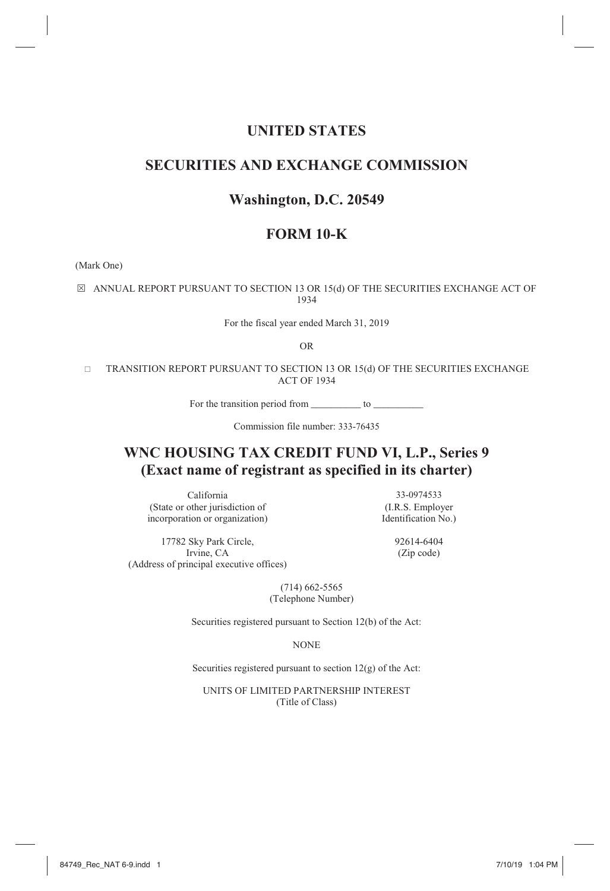# **UNITED STATES**

# **SECURITIES AND EXCHANGE COMMISSION**

# **Washington, D.C. 20549**

# **FORM 10-K**

(Mark One)

 $\boxtimes$  ANNUAL REPORT PURSUANT TO SECTION 13 OR 15(d) OF THE SECURITIES EXCHANGE ACT OF 1934

For the fiscal year ended March 31, 2019

OR

 TRANSITION REPORT PURSUANT TO SECTION 13 OR 15(d) OF THE SECURITIES EXCHANGE ACT OF 1934

For the transition period from \_\_\_\_\_\_\_\_\_\_\_ to \_

Commission file number: 333-76435

# **WNC HOUSING TAX CREDIT FUND VI, L.P., Series 9 (Exact name of registrant as specified in its charter)**

California 33-0974533<br>
other jurisdiction of (I.R.S. Employer (State or other jurisdiction of (I.R.S. Employer<br>incorporation or organization) Identification No.) incorporation or organization)

17782 Sky Park Circle, 92614-6404<br>Irvine, CA (Zip code) (Address of principal executive offices)

 $(Zip code)$ 

 (714) 662-5565 (Telephone Number)

Securities registered pursuant to Section 12(b) of the Act:

NONE

Securities registered pursuant to section  $12(g)$  of the Act:

UNITS OF LIMITED PARTNERSHIP INTEREST (Title of Class)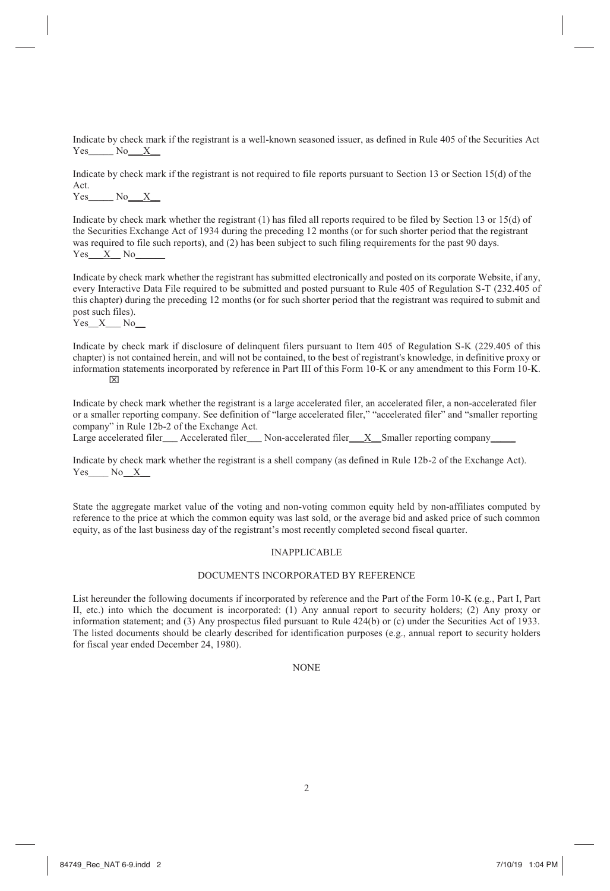Indicate by check mark if the registrant is a well-known seasoned issuer, as defined in Rule 405 of the Securities Act  $Yes$  No $X$ 

Indicate by check mark if the registrant is not required to file reports pursuant to Section 13 or Section 15(d) of the Act.

 $Yes$   $No$   $X$ 

Indicate by check mark whether the registrant (1) has filed all reports required to be filed by Section 13 or 15(d) of the Securities Exchange Act of 1934 during the preceding 12 months (or for such shorter period that the registrant was required to file such reports), and (2) has been subject to such filing requirements for the past 90 days.  $Yes_ X_N$  No\_

Indicate by check mark whether the registrant has submitted electronically and posted on its corporate Website, if any, every Interactive Data File required to be submitted and posted pursuant to Rule 405 of Regulation S-T (232.405 of this chapter) during the preceding 12 months (or for such shorter period that the registrant was required to submit and post such files).

 $Yes\_X$  No $\_$ 

Indicate by check mark if disclosure of delinquent filers pursuant to Item 405 of Regulation S-K (229.405 of this chapter) is not contained herein, and will not be contained, to the best of registrant's knowledge, in definitive proxy or information statements incorporated by reference in Part III of this Form 10-K or any amendment to this Form 10-K.  $\boxtimes$ 

Indicate by check mark whether the registrant is a large accelerated filer, an accelerated filer, a non-accelerated filer or a smaller reporting company. See definition of "large accelerated filer," "accelerated filer" and "smaller reporting company" in Rule 12b-2 of the Exchange Act.

Large accelerated filer Accelerated filer Non-accelerated filer X Smaller reporting company

Indicate by check mark whether the registrant is a shell company (as defined in Rule 12b-2 of the Exchange Act). Yes No X

State the aggregate market value of the voting and non-voting common equity held by non-affiliates computed by reference to the price at which the common equity was last sold, or the average bid and asked price of such common equity, as of the last business day of the registrant's most recently completed second fiscal quarter.

# INAPPLICABLE

### DOCUMENTS INCORPORATED BY REFERENCE

List hereunder the following documents if incorporated by reference and the Part of the Form 10-K (e.g., Part I, Part II, etc.) into which the document is incorporated: (1) Any annual report to security holders; (2) Any proxy or information statement; and (3) Any prospectus filed pursuant to Rule 424(b) or (c) under the Securities Act of 1933. The listed documents should be clearly described for identification purposes (e.g., annual report to security holders for fiscal year ended December 24, 1980).

NONE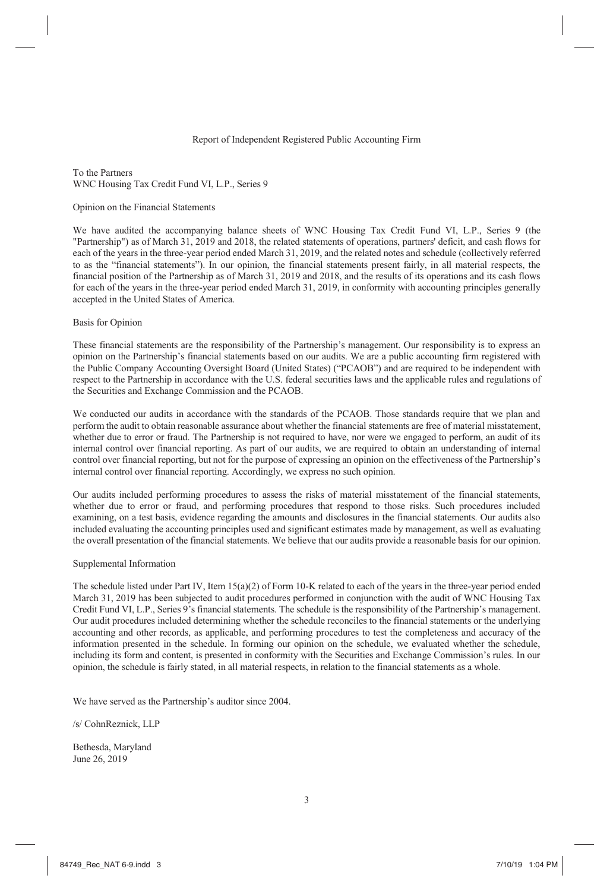### Report of Independent Registered Public Accounting Firm

To the Partners WNC Housing Tax Credit Fund VI, L.P., Series 9

#### Opinion on the Financial Statements

We have audited the accompanying balance sheets of WNC Housing Tax Credit Fund VI, L.P., Series 9 (the "Partnership") as of March 31, 2019 and 2018, the related statements of operations, partners' deficit, and cash flows for each of the years in the three-year period ended March 31, 2019, and the related notes and schedule (collectively referred to as the "financial statements"). In our opinion, the financial statements present fairly, in all material respects, the financial position of the Partnership as of March 31, 2019 and 2018, and the results of its operations and its cash flows for each of the years in the three-year period ended March 31, 2019, in conformity with accounting principles generally accepted in the United States of America.

#### Basis for Opinion

These financial statements are the responsibility of the Partnership's management. Our responsibility is to express an opinion on the Partnership's financial statements based on our audits. We are a public accounting firm registered with the Public Company Accounting Oversight Board (United States) ("PCAOB") and are required to be independent with respect to the Partnership in accordance with the U.S. federal securities laws and the applicable rules and regulations of the Securities and Exchange Commission and the PCAOB.

We conducted our audits in accordance with the standards of the PCAOB. Those standards require that we plan and perform the audit to obtain reasonable assurance about whether the financial statements are free of material misstatement, whether due to error or fraud. The Partnership is not required to have, nor were we engaged to perform, an audit of its internal control over financial reporting. As part of our audits, we are required to obtain an understanding of internal control over financial reporting, but not for the purpose of expressing an opinion on the effectiveness of the Partnership's internal control over financial reporting. Accordingly, we express no such opinion.

Our audits included performing procedures to assess the risks of material misstatement of the financial statements, whether due to error or fraud, and performing procedures that respond to those risks. Such procedures included examining, on a test basis, evidence regarding the amounts and disclosures in the financial statements. Our audits also included evaluating the accounting principles used and significant estimates made by management, as well as evaluating the overall presentation of the financial statements. We believe that our audits provide a reasonable basis for our opinion.

#### Supplemental Information

The schedule listed under Part IV, Item 15(a)(2) of Form 10-K related to each of the years in the three-year period ended March 31, 2019 has been subjected to audit procedures performed in conjunction with the audit of WNC Housing Tax Credit Fund VI, L.P., Series 9's financial statements. The schedule is the responsibility of the Partnership's management. Our audit procedures included determining whether the schedule reconciles to the financial statements or the underlying accounting and other records, as applicable, and performing procedures to test the completeness and accuracy of the information presented in the schedule. In forming our opinion on the schedule, we evaluated whether the schedule, including its form and content, is presented in conformity with the Securities and Exchange Commission's rules. In our opinion, the schedule is fairly stated, in all material respects, in relation to the financial statements as a whole.

We have served as the Partnership's auditor since 2004.

/s/ CohnReznick, LLP

Bethesda, Maryland June 26, 2019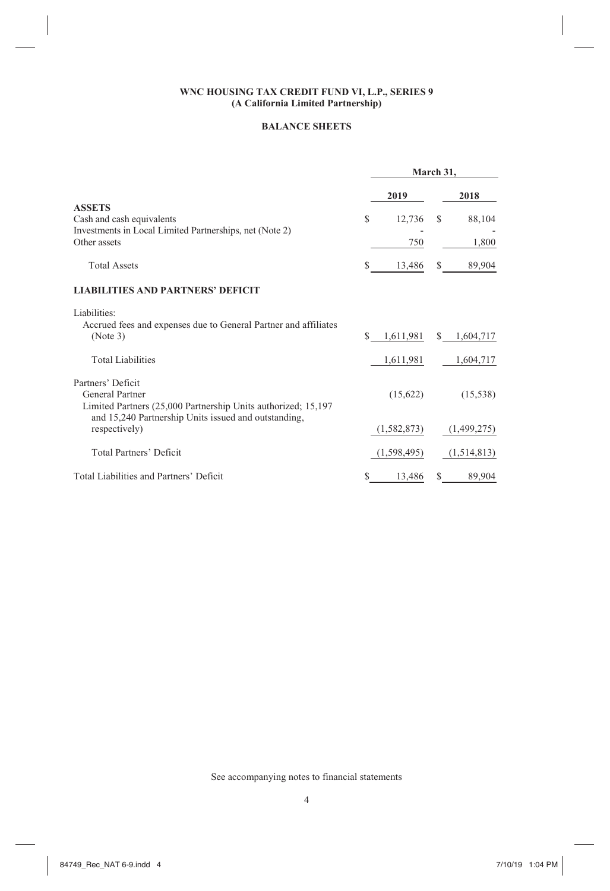# **BALANCE SHEETS**

|                                                                         | March 31, |               |    |             |
|-------------------------------------------------------------------------|-----------|---------------|----|-------------|
|                                                                         |           | 2019          |    | 2018        |
| <b>ASSETS</b>                                                           |           |               |    |             |
| Cash and cash equivalents                                               | S         | 12,736        | S  | 88,104      |
| Investments in Local Limited Partnerships, net (Note 2)<br>Other assets |           | 750           |    | 1,800       |
| <b>Total Assets</b>                                                     | S         | 13,486        | S  | 89,904      |
| <b>LIABILITIES AND PARTNERS' DEFICIT</b>                                |           |               |    |             |
| Liabilities:                                                            |           |               |    |             |
| Accrued fees and expenses due to General Partner and affiliates         |           |               |    |             |
| (Note 3)                                                                | \$.       | 1,611,981     |    | \$1,604,717 |
| <b>Total Liabilities</b>                                                |           | 1,611,981     |    | 1,604,717   |
| Partners' Deficit                                                       |           |               |    |             |
| General Partner                                                         |           | (15,622)      |    | (15, 538)   |
| Limited Partners (25,000 Partnership Units authorized; 15,197           |           |               |    |             |
| and 15,240 Partnership Units issued and outstanding,                    |           |               |    |             |
| respectively)                                                           |           | (1, 582, 873) |    | (1,499,275) |
| <b>Total Partners' Deficit</b>                                          |           | (1,598,495)   |    | (1,514,813) |
| Total Liabilities and Partners' Deficit                                 | S         | 13,486        | \$ | 89,904      |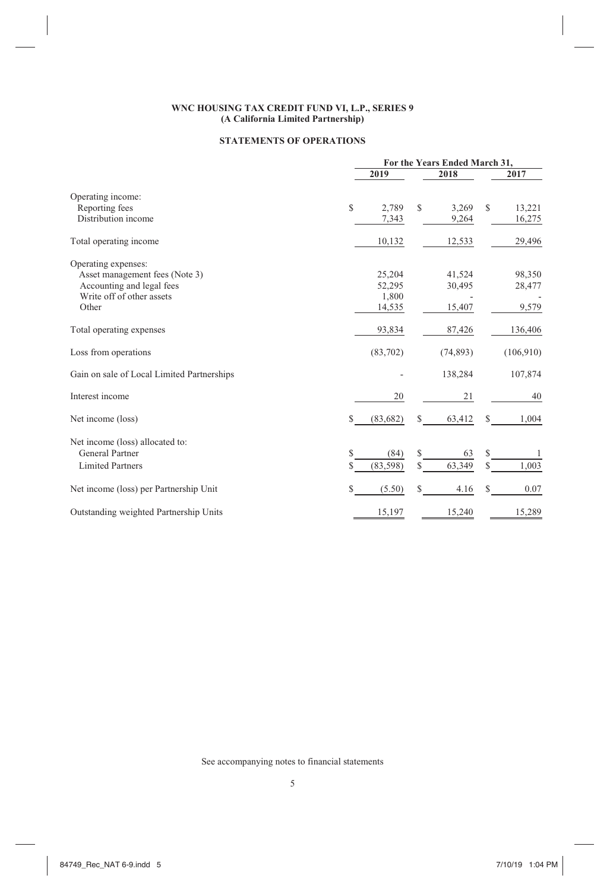# **STATEMENTS OF OPERATIONS**

|                                            | For the Years Ended March 31, |              |             |  |  |  |  |
|--------------------------------------------|-------------------------------|--------------|-------------|--|--|--|--|
|                                            | 2019                          | 2018         | 2017        |  |  |  |  |
| Operating income:                          |                               |              |             |  |  |  |  |
| Reporting fees                             | S<br>2,789                    | \$<br>3,269  | S<br>13,221 |  |  |  |  |
| Distribution income                        | 7,343                         | 9,264        | 16,275      |  |  |  |  |
| Total operating income                     | 10,132                        | 12,533       | 29,496      |  |  |  |  |
| Operating expenses:                        |                               |              |             |  |  |  |  |
| Asset management fees (Note 3)             | 25,204                        | 41,524       | 98,350      |  |  |  |  |
| Accounting and legal fees                  | 52,295                        | 30,495       | 28,477      |  |  |  |  |
| Write off of other assets                  | 1,800                         |              |             |  |  |  |  |
| Other                                      | 14,535                        | 15,407       | 9,579       |  |  |  |  |
| Total operating expenses                   | 93,834                        | 87,426       | 136,406     |  |  |  |  |
| Loss from operations                       | (83,702)                      | (74, 893)    | (106,910)   |  |  |  |  |
| Gain on sale of Local Limited Partnerships |                               | 138,284      | 107,874     |  |  |  |  |
| Interest income                            | 20                            | 21           | 40          |  |  |  |  |
| Net income (loss)                          | \$<br>(83, 682)               | 63,412<br>S  | 1,004<br>S  |  |  |  |  |
| Net income (loss) allocated to:            |                               |              |             |  |  |  |  |
| General Partner                            | \$<br>(84)                    | \$<br>63     | S<br>1      |  |  |  |  |
| <b>Limited Partners</b>                    | S<br>(83, 598)                | 63,349<br>\$ | \$<br>1,003 |  |  |  |  |
| Net income (loss) per Partnership Unit     | \$<br>(5.50)                  | \$<br>4.16   | S<br>0.07   |  |  |  |  |
| Outstanding weighted Partnership Units     | 15,197                        | 15,240       | 15,289      |  |  |  |  |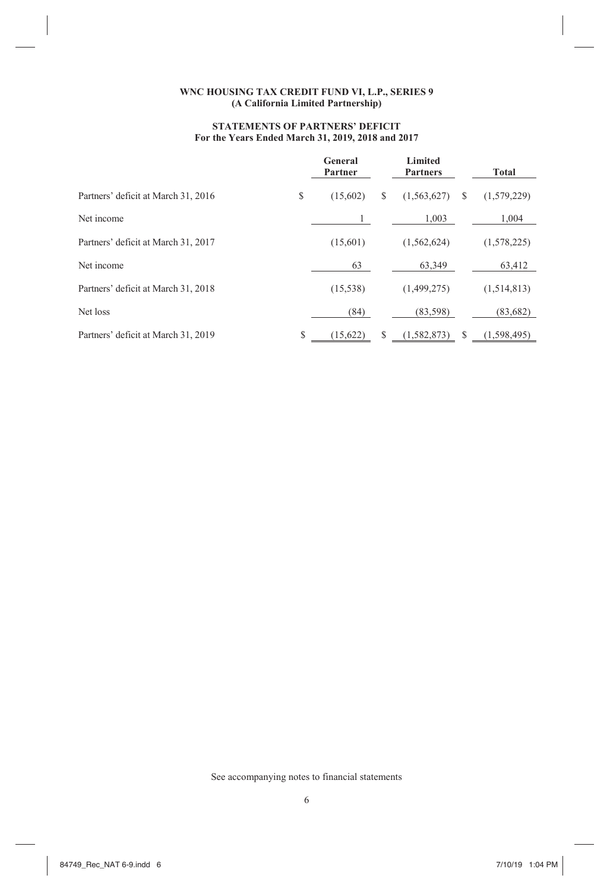# **STATEMENTS OF PARTNERS' DEFICIT For the Years Ended March 31, 2019, 2018 and 2017**

|                                     |    | General<br>Partner |   | Limited<br><b>Partners</b> |   | <b>Total</b> |
|-------------------------------------|----|--------------------|---|----------------------------|---|--------------|
| Partners' deficit at March 31, 2016 | \$ | (15,602)           | S | (1,563,627)                | S | (1,579,229)  |
| Net income                          |    |                    |   | 1.003                      |   | 1.004        |
| Partners' deficit at March 31, 2017 |    | (15,601)           |   | (1,562,624)                |   | (1,578,225)  |
| Net income                          |    | 63                 |   | 63.349                     |   | 63,412       |
| Partners' deficit at March 31, 2018 |    | (15, 538)          |   | (1,499,275)                |   | (1,514,813)  |
| Net loss                            |    | (84)               |   | (83, 598)                  |   | (83, 682)    |
| Partners' deficit at March 31, 2019 | S  | (15.622)           | S | (1,582,873)                | S | (1.598.495)  |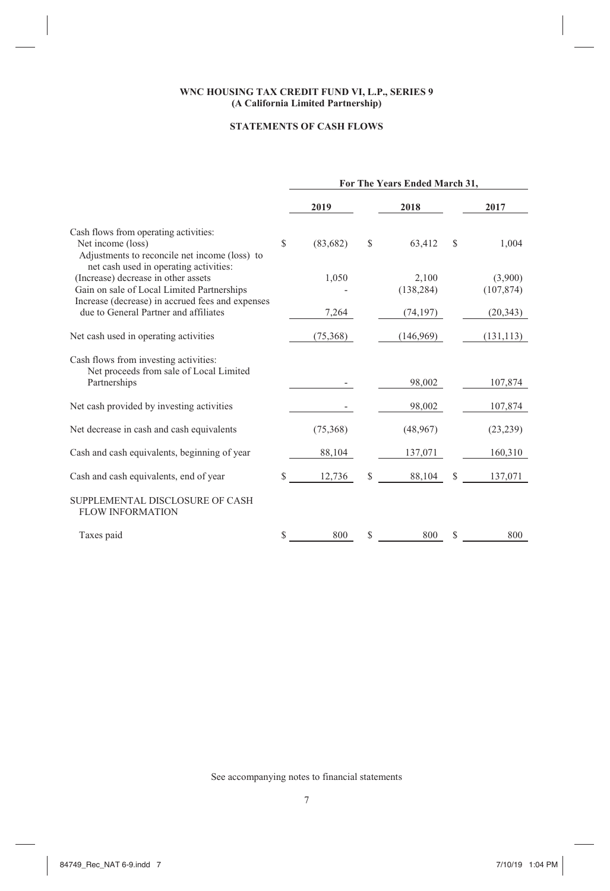# **STATEMENTS OF CASH FLOWS**

|                                                                                                              | For The Years Ended March 31, |           |    |            |     |            |  |  |
|--------------------------------------------------------------------------------------------------------------|-------------------------------|-----------|----|------------|-----|------------|--|--|
|                                                                                                              |                               | 2019      |    | 2018       |     | 2017       |  |  |
| Cash flows from operating activities:                                                                        |                               |           |    |            |     |            |  |  |
| Net income (loss)<br>Adjustments to reconcile net income (loss) to<br>net cash used in operating activities: | S                             | (83, 682) | \$ | 63,412     | \$. | 1,004      |  |  |
| (Increase) decrease in other assets                                                                          |                               | 1,050     |    | 2,100      |     | (3,900)    |  |  |
| Gain on sale of Local Limited Partnerships<br>Increase (decrease) in accrued fees and expenses               |                               |           |    | (138, 284) |     | (107, 874) |  |  |
| due to General Partner and affiliates                                                                        |                               | 7,264     |    | (74, 197)  |     | (20, 343)  |  |  |
| Net cash used in operating activities                                                                        |                               | (75,368)  |    | (146,969)  |     | (131, 113) |  |  |
| Cash flows from investing activities:<br>Net proceeds from sale of Local Limited                             |                               |           |    |            |     |            |  |  |
| Partnerships                                                                                                 |                               |           |    | 98,002     |     | 107,874    |  |  |
| Net cash provided by investing activities                                                                    |                               |           |    | 98,002     |     | 107,874    |  |  |
| Net decrease in cash and cash equivalents                                                                    |                               | (75,368)  |    | (48, 967)  |     | (23, 239)  |  |  |
| Cash and cash equivalents, beginning of year                                                                 |                               | 88,104    |    | 137,071    |     | 160,310    |  |  |
| Cash and cash equivalents, end of year                                                                       | \$                            | 12,736    | S  | 88,104     | S   | 137,071    |  |  |
| SUPPLEMENTAL DISCLOSURE OF CASH<br><b>FLOW INFORMATION</b>                                                   |                               |           |    |            |     |            |  |  |
| Taxes paid                                                                                                   | S                             | 800       | S  | 800        |     | 800        |  |  |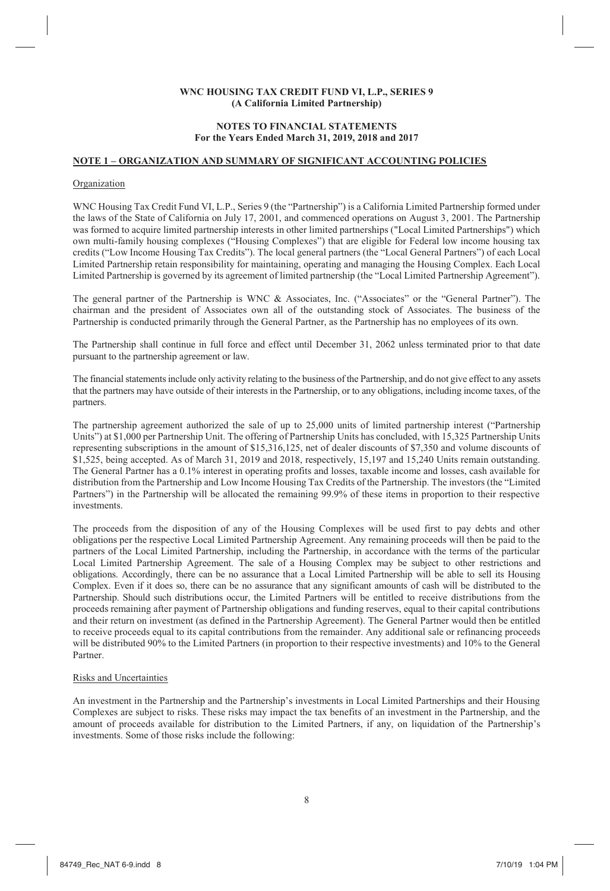### **NOTES TO FINANCIAL STATEMENTS For the Years Ended March 31, 2019, 2018 and 2017**

### **NOTE 1 – ORGANIZATION AND SUMMARY OF SIGNIFICANT ACCOUNTING POLICIES**

### Organization

WNC Housing Tax Credit Fund VI, L.P., Series 9 (the "Partnership") is a California Limited Partnership formed under the laws of the State of California on July 17, 2001, and commenced operations on August 3, 2001. The Partnership was formed to acquire limited partnership interests in other limited partnerships ("Local Limited Partnerships") which own multi-family housing complexes ("Housing Complexes") that are eligible for Federal low income housing tax credits ("Low Income Housing Tax Credits"). The local general partners (the "Local General Partners") of each Local Limited Partnership retain responsibility for maintaining, operating and managing the Housing Complex. Each Local Limited Partnership is governed by its agreement of limited partnership (the "Local Limited Partnership Agreement").

The general partner of the Partnership is WNC & Associates, Inc. ("Associates" or the "General Partner"). The chairman and the president of Associates own all of the outstanding stock of Associates. The business of the Partnership is conducted primarily through the General Partner, as the Partnership has no employees of its own.

The Partnership shall continue in full force and effect until December 31, 2062 unless terminated prior to that date pursuant to the partnership agreement or law.

The financial statements include only activity relating to the business of the Partnership, and do not give effect to any assets that the partners may have outside of their interests in the Partnership, or to any obligations, including income taxes, of the partners.

The partnership agreement authorized the sale of up to 25,000 units of limited partnership interest ("Partnership Units") at \$1,000 per Partnership Unit. The offering of Partnership Units has concluded, with 15,325 Partnership Units representing subscriptions in the amount of \$15,316,125, net of dealer discounts of \$7,350 and volume discounts of \$1,525, being accepted. As of March 31, 2019 and 2018, respectively, 15,197 and 15,240 Units remain outstanding. The General Partner has a 0.1% interest in operating profits and losses, taxable income and losses, cash available for distribution from the Partnership and Low Income Housing Tax Credits of the Partnership. The investors (the "Limited Partners") in the Partnership will be allocated the remaining 99.9% of these items in proportion to their respective investments.

The proceeds from the disposition of any of the Housing Complexes will be used first to pay debts and other obligations per the respective Local Limited Partnership Agreement. Any remaining proceeds will then be paid to the partners of the Local Limited Partnership, including the Partnership, in accordance with the terms of the particular Local Limited Partnership Agreement. The sale of a Housing Complex may be subject to other restrictions and obligations. Accordingly, there can be no assurance that a Local Limited Partnership will be able to sell its Housing Complex. Even if it does so, there can be no assurance that any significant amounts of cash will be distributed to the Partnership. Should such distributions occur, the Limited Partners will be entitled to receive distributions from the proceeds remaining after payment of Partnership obligations and funding reserves, equal to their capital contributions and their return on investment (as defined in the Partnership Agreement). The General Partner would then be entitled to receive proceeds equal to its capital contributions from the remainder. Any additional sale or refinancing proceeds will be distributed 90% to the Limited Partners (in proportion to their respective investments) and 10% to the General Partner.

### Risks and Uncertainties

An investment in the Partnership and the Partnership's investments in Local Limited Partnerships and their Housing Complexes are subject to risks. These risks may impact the tax benefits of an investment in the Partnership, and the amount of proceeds available for distribution to the Limited Partners, if any, on liquidation of the Partnership's investments. Some of those risks include the following: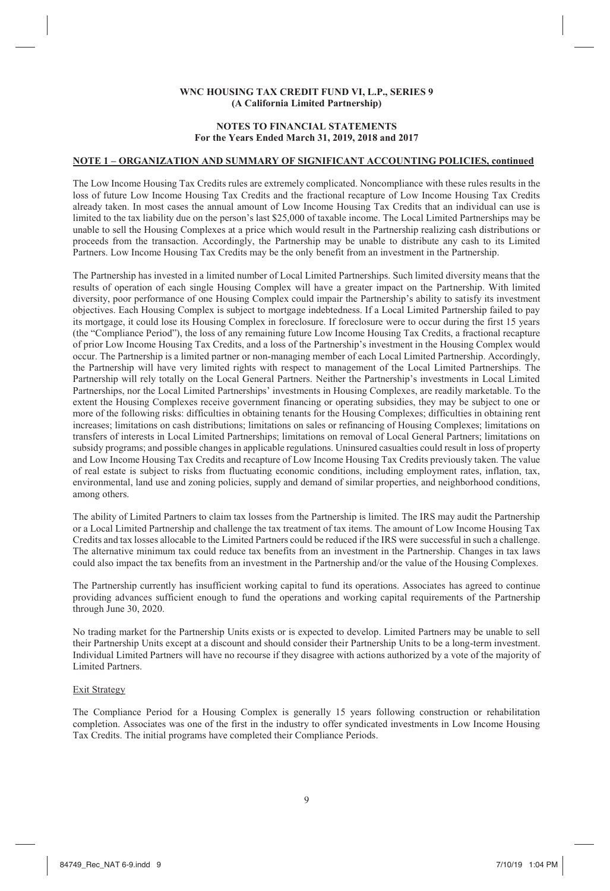### **NOTES TO FINANCIAL STATEMENTS For the Years Ended March 31, 2019, 2018 and 2017**

### **NOTE 1 – ORGANIZATION AND SUMMARY OF SIGNIFICANT ACCOUNTING POLICIES, continued**

The Low Income Housing Tax Credits rules are extremely complicated. Noncompliance with these rules results in the loss of future Low Income Housing Tax Credits and the fractional recapture of Low Income Housing Tax Credits already taken. In most cases the annual amount of Low Income Housing Tax Credits that an individual can use is limited to the tax liability due on the person's last \$25,000 of taxable income. The Local Limited Partnerships may be unable to sell the Housing Complexes at a price which would result in the Partnership realizing cash distributions or proceeds from the transaction. Accordingly, the Partnership may be unable to distribute any cash to its Limited Partners. Low Income Housing Tax Credits may be the only benefit from an investment in the Partnership.

The Partnership has invested in a limited number of Local Limited Partnerships. Such limited diversity means that the results of operation of each single Housing Complex will have a greater impact on the Partnership. With limited diversity, poor performance of one Housing Complex could impair the Partnership's ability to satisfy its investment objectives. Each Housing Complex is subject to mortgage indebtedness. If a Local Limited Partnership failed to pay its mortgage, it could lose its Housing Complex in foreclosure. If foreclosure were to occur during the first 15 years (the "Compliance Period"), the loss of any remaining future Low Income Housing Tax Credits, a fractional recapture of prior Low Income Housing Tax Credits, and a loss of the Partnership's investment in the Housing Complex would occur. The Partnership is a limited partner or non-managing member of each Local Limited Partnership. Accordingly, the Partnership will have very limited rights with respect to management of the Local Limited Partnerships. The Partnership will rely totally on the Local General Partners. Neither the Partnership's investments in Local Limited Partnerships, nor the Local Limited Partnerships' investments in Housing Complexes, are readily marketable. To the extent the Housing Complexes receive government financing or operating subsidies, they may be subject to one or more of the following risks: difficulties in obtaining tenants for the Housing Complexes; difficulties in obtaining rent increases; limitations on cash distributions; limitations on sales or refinancing of Housing Complexes; limitations on transfers of interests in Local Limited Partnerships; limitations on removal of Local General Partners; limitations on subsidy programs; and possible changes in applicable regulations. Uninsured casualties could result in loss of property and Low Income Housing Tax Credits and recapture of Low Income Housing Tax Credits previously taken. The value of real estate is subject to risks from fluctuating economic conditions, including employment rates, inflation, tax, environmental, land use and zoning policies, supply and demand of similar properties, and neighborhood conditions, among others.

The ability of Limited Partners to claim tax losses from the Partnership is limited. The IRS may audit the Partnership or a Local Limited Partnership and challenge the tax treatment of tax items. The amount of Low Income Housing Tax Credits and tax losses allocable to the Limited Partners could be reduced if the IRS were successful in such a challenge. The alternative minimum tax could reduce tax benefits from an investment in the Partnership. Changes in tax laws could also impact the tax benefits from an investment in the Partnership and/or the value of the Housing Complexes.

The Partnership currently has insufficient working capital to fund its operations. Associates has agreed to continue providing advances sufficient enough to fund the operations and working capital requirements of the Partnership through June 30, 2020.

No trading market for the Partnership Units exists or is expected to develop. Limited Partners may be unable to sell their Partnership Units except at a discount and should consider their Partnership Units to be a long-term investment. Individual Limited Partners will have no recourse if they disagree with actions authorized by a vote of the majority of Limited Partners.

### Exit Strategy

The Compliance Period for a Housing Complex is generally 15 years following construction or rehabilitation completion. Associates was one of the first in the industry to offer syndicated investments in Low Income Housing Tax Credits. The initial programs have completed their Compliance Periods.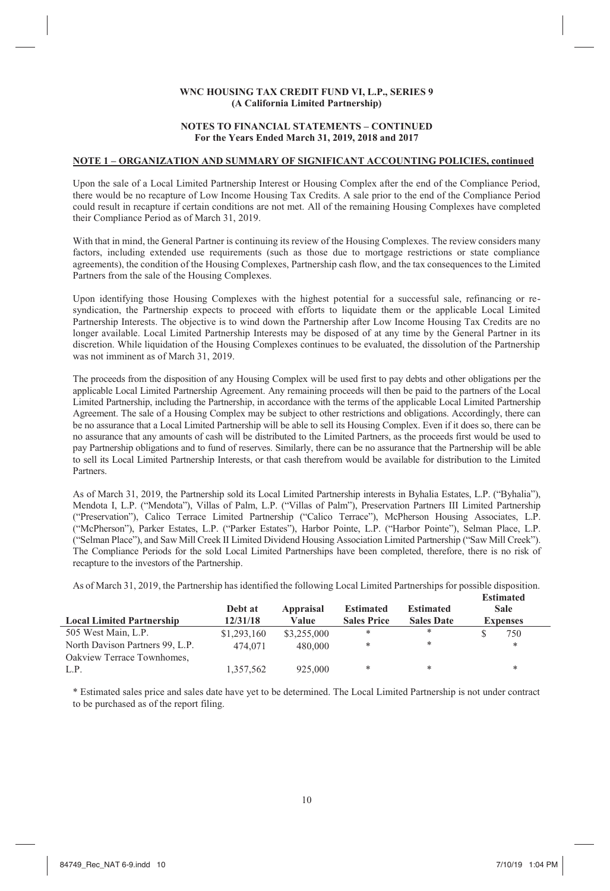#### **NOTES TO FINANCIAL STATEMENTS – CONTINUED For the Years Ended March 31, 2019, 2018 and 2017**

#### **NOTE 1 – ORGANIZATION AND SUMMARY OF SIGNIFICANT ACCOUNTING POLICIES, continued**

Upon the sale of a Local Limited Partnership Interest or Housing Complex after the end of the Compliance Period, there would be no recapture of Low Income Housing Tax Credits. A sale prior to the end of the Compliance Period could result in recapture if certain conditions are not met. All of the remaining Housing Complexes have completed their Compliance Period as of March 31, 2019.

With that in mind, the General Partner is continuing its review of the Housing Complexes. The review considers many factors, including extended use requirements (such as those due to mortgage restrictions or state compliance agreements), the condition of the Housing Complexes, Partnership cash flow, and the tax consequences to the Limited Partners from the sale of the Housing Complexes.

Upon identifying those Housing Complexes with the highest potential for a successful sale, refinancing or resyndication, the Partnership expects to proceed with efforts to liquidate them or the applicable Local Limited Partnership Interests. The objective is to wind down the Partnership after Low Income Housing Tax Credits are no longer available. Local Limited Partnership Interests may be disposed of at any time by the General Partner in its discretion. While liquidation of the Housing Complexes continues to be evaluated, the dissolution of the Partnership was not imminent as of March 31, 2019.

The proceeds from the disposition of any Housing Complex will be used first to pay debts and other obligations per the applicable Local Limited Partnership Agreement. Any remaining proceeds will then be paid to the partners of the Local Limited Partnership, including the Partnership, in accordance with the terms of the applicable Local Limited Partnership Agreement. The sale of a Housing Complex may be subject to other restrictions and obligations. Accordingly, there can be no assurance that a Local Limited Partnership will be able to sell its Housing Complex. Even if it does so, there can be no assurance that any amounts of cash will be distributed to the Limited Partners, as the proceeds first would be used to pay Partnership obligations and to fund of reserves. Similarly, there can be no assurance that the Partnership will be able to sell its Local Limited Partnership Interests, or that cash therefrom would be available for distribution to the Limited Partners.

As of March 31, 2019, the Partnership sold its Local Limited Partnership interests in Byhalia Estates, L.P. ("Byhalia"), Mendota I, L.P. ("Mendota"), Villas of Palm, L.P. ("Villas of Palm"), Preservation Partners III Limited Partnership ("Preservation"), Calico Terrace Limited Partnership ("Calico Terrace"), McPherson Housing Associates, L.P. ("McPherson"), Parker Estates, L.P. ("Parker Estates"), Harbor Pointe, L.P. ("Harbor Pointe"), Selman Place, L.P. ("Selman Place"), and Saw Mill Creek II Limited Dividend Housing Association Limited Partnership ("Saw Mill Creek"). The Compliance Periods for the sold Local Limited Partnerships have been completed, therefore, there is no risk of recapture to the investors of the Partnership.

As of March 31, 2019, the Partnership has identified the following Local Limited Partnerships for possible disposition.

|                                  |             |             |                    |                   | <b>Estimated</b> |
|----------------------------------|-------------|-------------|--------------------|-------------------|------------------|
|                                  | Debt at     | Appraisal   | <b>Estimated</b>   | <b>Estimated</b>  | Sale             |
| <b>Local Limited Partnership</b> | 12/31/18    | Value       | <b>Sales Price</b> | <b>Sales Date</b> | <b>Expenses</b>  |
| 505 West Main, L.P.              | \$1,293,160 | \$3,255,000 | *                  | *                 | 750              |
| North Davison Partners 99, L.P.  | 474,071     | 480,000     | *                  | *                 | *                |
| Oakview Terrace Townhomes,       |             |             |                    |                   |                  |
| L.P.                             | 1.357.562   | 925,000     | *                  | *                 | *                |

\* Estimated sales price and sales date have yet to be determined. The Local Limited Partnership is not under contract to be purchased as of the report filing.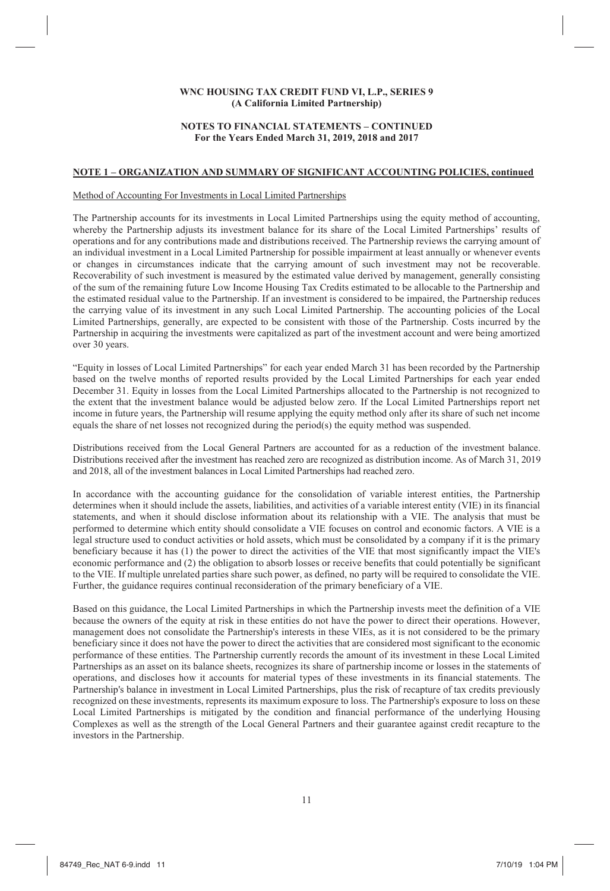### **NOTES TO FINANCIAL STATEMENTS – CONTINUED For the Years Ended March 31, 2019, 2018 and 2017**

# **NOTE 1 – ORGANIZATION AND SUMMARY OF SIGNIFICANT ACCOUNTING POLICIES, continued**

### Method of Accounting For Investments in Local Limited Partnerships

The Partnership accounts for its investments in Local Limited Partnerships using the equity method of accounting, whereby the Partnership adjusts its investment balance for its share of the Local Limited Partnerships' results of operations and for any contributions made and distributions received. The Partnership reviews the carrying amount of an individual investment in a Local Limited Partnership for possible impairment at least annually or whenever events or changes in circumstances indicate that the carrying amount of such investment may not be recoverable. Recoverability of such investment is measured by the estimated value derived by management, generally consisting of the sum of the remaining future Low Income Housing Tax Credits estimated to be allocable to the Partnership and the estimated residual value to the Partnership. If an investment is considered to be impaired, the Partnership reduces the carrying value of its investment in any such Local Limited Partnership. The accounting policies of the Local Limited Partnerships, generally, are expected to be consistent with those of the Partnership. Costs incurred by the Partnership in acquiring the investments were capitalized as part of the investment account and were being amortized over 30 years.

"Equity in losses of Local Limited Partnerships" for each year ended March 31 has been recorded by the Partnership based on the twelve months of reported results provided by the Local Limited Partnerships for each year ended December 31. Equity in losses from the Local Limited Partnerships allocated to the Partnership is not recognized to the extent that the investment balance would be adjusted below zero. If the Local Limited Partnerships report net income in future years, the Partnership will resume applying the equity method only after its share of such net income equals the share of net losses not recognized during the period(s) the equity method was suspended.

Distributions received from the Local General Partners are accounted for as a reduction of the investment balance. Distributions received after the investment has reached zero are recognized as distribution income. As of March 31, 2019 and 2018, all of the investment balances in Local Limited Partnerships had reached zero.

In accordance with the accounting guidance for the consolidation of variable interest entities, the Partnership determines when it should include the assets, liabilities, and activities of a variable interest entity (VIE) in its financial statements, and when it should disclose information about its relationship with a VIE. The analysis that must be performed to determine which entity should consolidate a VIE focuses on control and economic factors. A VIE is a legal structure used to conduct activities or hold assets, which must be consolidated by a company if it is the primary beneficiary because it has (1) the power to direct the activities of the VIE that most significantly impact the VIE's economic performance and (2) the obligation to absorb losses or receive benefits that could potentially be significant to the VIE. If multiple unrelated parties share such power, as defined, no party will be required to consolidate the VIE. Further, the guidance requires continual reconsideration of the primary beneficiary of a VIE.

Based on this guidance, the Local Limited Partnerships in which the Partnership invests meet the definition of a VIE because the owners of the equity at risk in these entities do not have the power to direct their operations. However, management does not consolidate the Partnership's interests in these VIEs, as it is not considered to be the primary beneficiary since it does not have the power to direct the activities that are considered most significant to the economic performance of these entities. The Partnership currently records the amount of its investment in these Local Limited Partnerships as an asset on its balance sheets, recognizes its share of partnership income or losses in the statements of operations, and discloses how it accounts for material types of these investments in its financial statements. The Partnership's balance in investment in Local Limited Partnerships, plus the risk of recapture of tax credits previously recognized on these investments, represents its maximum exposure to loss. The Partnership's exposure to loss on these Local Limited Partnerships is mitigated by the condition and financial performance of the underlying Housing Complexes as well as the strength of the Local General Partners and their guarantee against credit recapture to the investors in the Partnership.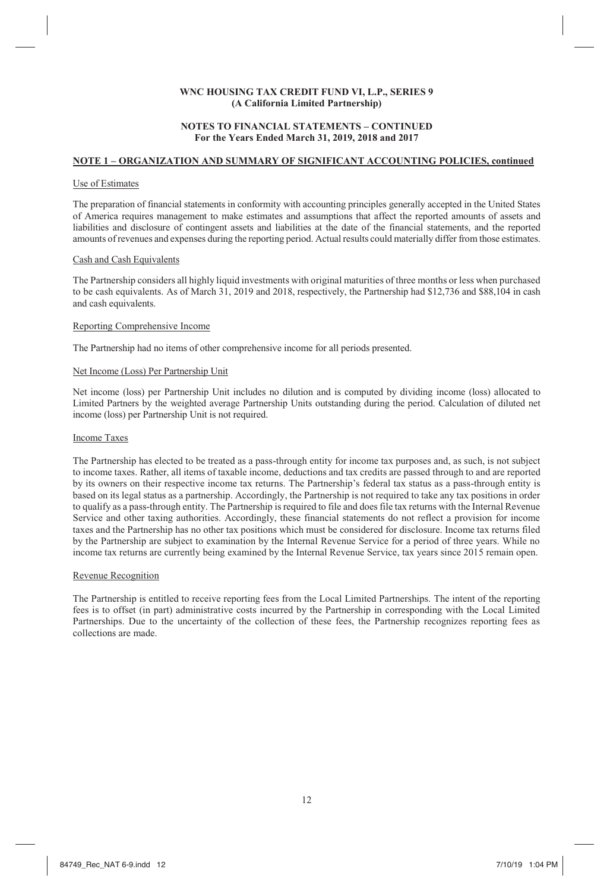### **NOTES TO FINANCIAL STATEMENTS – CONTINUED For the Years Ended March 31, 2019, 2018 and 2017**

# **NOTE 1 – ORGANIZATION AND SUMMARY OF SIGNIFICANT ACCOUNTING POLICIES, continued**

### Use of Estimates

The preparation of financial statements in conformity with accounting principles generally accepted in the United States of America requires management to make estimates and assumptions that affect the reported amounts of assets and liabilities and disclosure of contingent assets and liabilities at the date of the financial statements, and the reported amounts of revenues and expenses during the reporting period. Actual results could materially differ from those estimates.

#### Cash and Cash Equivalents

The Partnership considers all highly liquid investments with original maturities of three months or less when purchased to be cash equivalents. As of March 31, 2019 and 2018, respectively, the Partnership had \$12,736 and \$88,104 in cash and cash equivalents.

#### Reporting Comprehensive Income

The Partnership had no items of other comprehensive income for all periods presented.

### Net Income (Loss) Per Partnership Unit

Net income (loss) per Partnership Unit includes no dilution and is computed by dividing income (loss) allocated to Limited Partners by the weighted average Partnership Units outstanding during the period. Calculation of diluted net income (loss) per Partnership Unit is not required.

#### Income Taxes

The Partnership has elected to be treated as a pass-through entity for income tax purposes and, as such, is not subject to income taxes. Rather, all items of taxable income, deductions and tax credits are passed through to and are reported by its owners on their respective income tax returns. The Partnership's federal tax status as a pass-through entity is based on its legal status as a partnership. Accordingly, the Partnership is not required to take any tax positions in order to qualify as a pass-through entity. The Partnership is required to file and does file tax returns with the Internal Revenue Service and other taxing authorities. Accordingly, these financial statements do not reflect a provision for income taxes and the Partnership has no other tax positions which must be considered for disclosure. Income tax returns filed by the Partnership are subject to examination by the Internal Revenue Service for a period of three years. While no income tax returns are currently being examined by the Internal Revenue Service, tax years since 2015 remain open.

#### Revenue Recognition

The Partnership is entitled to receive reporting fees from the Local Limited Partnerships. The intent of the reporting fees is to offset (in part) administrative costs incurred by the Partnership in corresponding with the Local Limited Partnerships. Due to the uncertainty of the collection of these fees, the Partnership recognizes reporting fees as collections are made.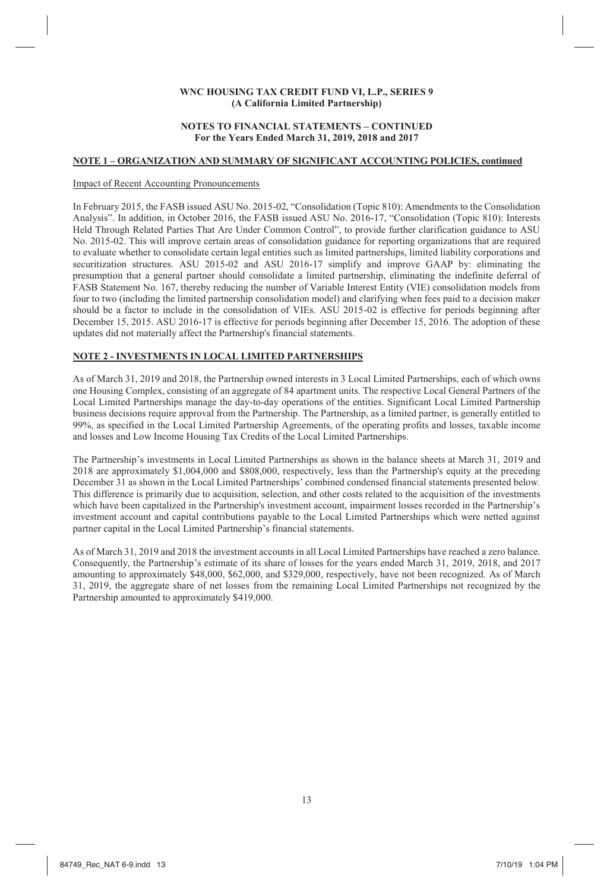#### **NOTES TO FINANCIAL STATEMENTS – CONTINUED For the Years Ended March 31, 2019, 2018 and 2017**

### **NOTE 1 – ORGANIZATION AND SUMMARY OF SIGNIFICANT ACCOUNTING POLICIES, continued**

### Impact of Recent Accounting Pronouncements

In February 2015, the FASB issued ASU No. 2015-02, "Consolidation (Topic 810): Amendments to the Consolidation Analysis". In addition, in October 2016, the FASB issued ASU No. 2016-17, "Consolidation (Topic 810): Interests Held Through Related Parties That Are Under Common Control", to provide further clarification guidance to ASU No. 2015-02. This will improve certain areas of consolidation guidance for reporting organizations that are required to evaluate whether to consolidate certain legal entities such as limited partnerships, limited liability corporations and securitization structures. ASU 2015-02 and ASU 2016-17 simplify and improve GAAP by: eliminating the presumption that a general partner should consolidate a limited partnership, eliminating the indefinite deferral of FASB Statement No. 167, thereby reducing the number of Variable Interest Entity (VIE) consolidation models from four to two (including the limited partnership consolidation model) and clarifying when fees paid to a decision maker should be a factor to include in the consolidation of VIEs. ASU 2015-02 is effective for periods beginning after December 15, 2015. ASU 2016-17 is effective for periods beginning after December 15, 2016. The adoption of these updates did not materially affect the Partnership's financial statements.

### **NOTE 2 - INVESTMENTS IN LOCAL LIMITED PARTNERSHIPS**

As of March 31, 2019 and 2018, the Partnership owned interests in 3 Local Limited Partnerships, each of which owns one Housing Complex, consisting of an aggregate of 84 apartment units. The respective Local General Partners of the Local Limited Partnerships manage the day-to-day operations of the entities. Significant Local Limited Partnership business decisions require approval from the Partnership. The Partnership, as a limited partner, is generally entitled to 99%, as specified in the Local Limited Partnership Agreements, of the operating profits and losses, taxable income and losses and Low Income Housing Tax Credits of the Local Limited Partnerships.

The Partnership's investments in Local Limited Partnerships as shown in the balance sheets at March 31, 2019 and 2018 are approximately \$1,004,000 and \$808,000, respectively, less than the Partnership's equity at the preceding December 31 as shown in the Local Limited Partnerships' combined condensed financial statements presented below. This difference is primarily due to acquisition, selection, and other costs related to the acquisition of the investments which have been capitalized in the Partnership's investment account, impairment losses recorded in the Partnership's investment account and capital contributions payable to the Local Limited Partnerships which were netted against partner capital in the Local Limited Partnership's financial statements.

As of March 31, 2019 and 2018 the investment accounts in all Local Limited Partnerships have reached a zero balance. Consequently, the Partnership's estimate of its share of losses for the years ended March 31, 2019, 2018, and 2017 amounting to approximately \$48,000, \$62,000, and \$329,000, respectively, have not been recognized. As of March 31, 2019, the aggregate share of net losses from the remaining Local Limited Partnerships not recognized by the Partnership amounted to approximately \$419,000.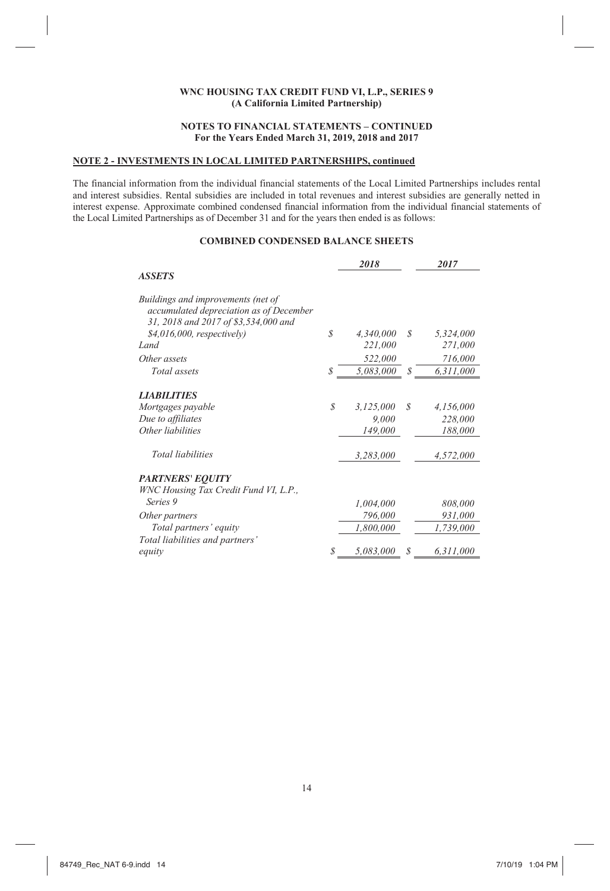### **NOTES TO FINANCIAL STATEMENTS – CONTINUED For the Years Ended March 31, 2019, 2018 and 2017**

# **NOTE 2 - INVESTMENTS IN LOCAL LIMITED PARTNERSHIPS, continued**

The financial information from the individual financial statements of the Local Limited Partnerships includes rental and interest subsidies. Rental subsidies are included in total revenues and interest subsidies are generally netted in interest expense. Approximate combined condensed financial information from the individual financial statements of the Local Limited Partnerships as of December 31 and for the years then ended is as follows:

# **COMBINED CONDENSED BALANCE SHEETS**

|                                                                                                                       |    | 2018      |   | 2017      |
|-----------------------------------------------------------------------------------------------------------------------|----|-----------|---|-----------|
| <b>ASSETS</b>                                                                                                         |    |           |   |           |
| Buildings and improvements (net of<br>accumulated depreciation as of December<br>31, 2018 and 2017 of \$3,534,000 and |    |           |   |           |
| $$4,016,000$ , respectively)                                                                                          | \$ | 4,340,000 | S | 5,324,000 |
| Land                                                                                                                  |    | 221,000   |   | 271,000   |
| Other assets                                                                                                          |    | 522,000   |   | 716,000   |
| Total assets                                                                                                          | \$ | 5,083,000 | S | 6,311,000 |
| <b>LIABILITIES</b>                                                                                                    |    |           |   |           |
| Mortgages payable                                                                                                     | S  | 3,125,000 | S | 4,156,000 |
| Due to affiliates                                                                                                     |    | 9,000     |   | 228,000   |
| Other liabilities                                                                                                     |    | 149,000   |   | 188,000   |
| <i>Total liabilities</i>                                                                                              |    | 3,283,000 |   | 4,572,000 |
| <b>PARTNERS' EQUITY</b>                                                                                               |    |           |   |           |
| WNC Housing Tax Credit Fund VI, L.P.,                                                                                 |    |           |   |           |
| Series <sub>9</sub>                                                                                                   |    | 1,004,000 |   | 808,000   |
| Other partners                                                                                                        |    | 796,000   |   | 931,000   |
| Total partners' equity                                                                                                |    | 1,800,000 |   | 1,739,000 |
| Total liabilities and partners'                                                                                       |    |           |   |           |
| equity                                                                                                                | S  | 5,083,000 | S | 6,311,000 |

14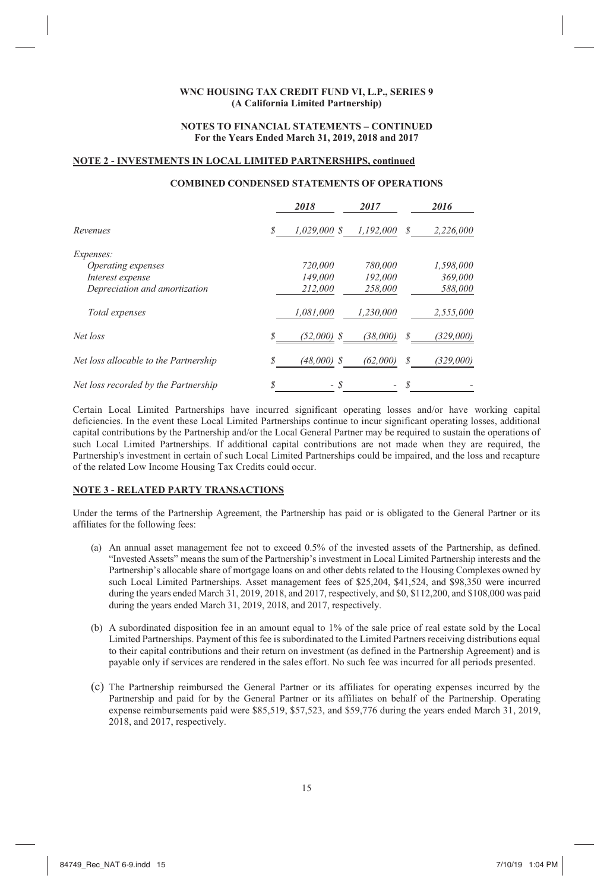### **NOTES TO FINANCIAL STATEMENTS – CONTINUED For the Years Ended March 31, 2019, 2018 and 2017**

### **NOTE 2 - INVESTMENTS IN LOCAL LIMITED PARTNERSHIPS, continued**

# **COMBINED CONDENSED STATEMENTS OF OPERATIONS**

|                                       |   | 2018           | 2017      |    | 2016      |
|---------------------------------------|---|----------------|-----------|----|-----------|
| Revenues                              |   | $1,029,000$ \$ | 1,192,000 | S  | 2,226,000 |
| Expenses:                             |   |                |           |    |           |
| Operating expenses                    |   | 720,000        | 780,000   |    | 1,598,000 |
| Interest expense                      |   | 149,000        | 192,000   |    | 369,000   |
| Depreciation and amortization         |   | 212.000        | 258,000   |    | 588,000   |
| Total expenses                        |   | 1,081,000      | 1.230.000 |    | 2,555,000 |
| Net loss                              |   | $(52,000)$ \$  | (38,000)  | \$ | (329,000) |
| Net loss allocable to the Partnership |   | $(48,000)$ \$  | (62,000)  | \$ | (329,000) |
| Net loss recorded by the Partnership  | S | - \$           |           | S  |           |

Certain Local Limited Partnerships have incurred significant operating losses and/or have working capital deficiencies. In the event these Local Limited Partnerships continue to incur significant operating losses, additional capital contributions by the Partnership and/or the Local General Partner may be required to sustain the operations of such Local Limited Partnerships. If additional capital contributions are not made when they are required, the Partnership's investment in certain of such Local Limited Partnerships could be impaired, and the loss and recapture of the related Low Income Housing Tax Credits could occur.

### **NOTE 3 - RELATED PARTY TRANSACTIONS**

Under the terms of the Partnership Agreement, the Partnership has paid or is obligated to the General Partner or its affiliates for the following fees:

- (a) An annual asset management fee not to exceed 0.5% of the invested assets of the Partnership, as defined. "Invested Assets" means the sum of the Partnership's investment in Local Limited Partnership interests and the Partnership's allocable share of mortgage loans on and other debts related to the Housing Complexes owned by such Local Limited Partnerships. Asset management fees of \$25,204, \$41,524, and \$98,350 were incurred during the years ended March 31, 2019, 2018, and 2017, respectively, and \$0, \$112, 200, and \$108,000 was paid during the years ended March 31, 2019, 2018, and 2017, respectively.
- (b) A subordinated disposition fee in an amount equal to 1% of the sale price of real estate sold by the Local Limited Partnerships. Payment of this fee is subordinated to the Limited Partners receiving distributions equal to their capital contributions and their return on investment (as defined in the Partnership Agreement) and is payable only if services are rendered in the sales effort. No such fee was incurred for all periods presented.
- (c) The Partnership reimbursed the General Partner or its affiliates for operating expenses incurred by the Partnership and paid for by the General Partner or its affiliates on behalf of the Partnership. Operating expense reimbursements paid were \$85,519, \$57,523, and \$59,776 during the years ended March 31, 2019, 2018, and 2017, respectively.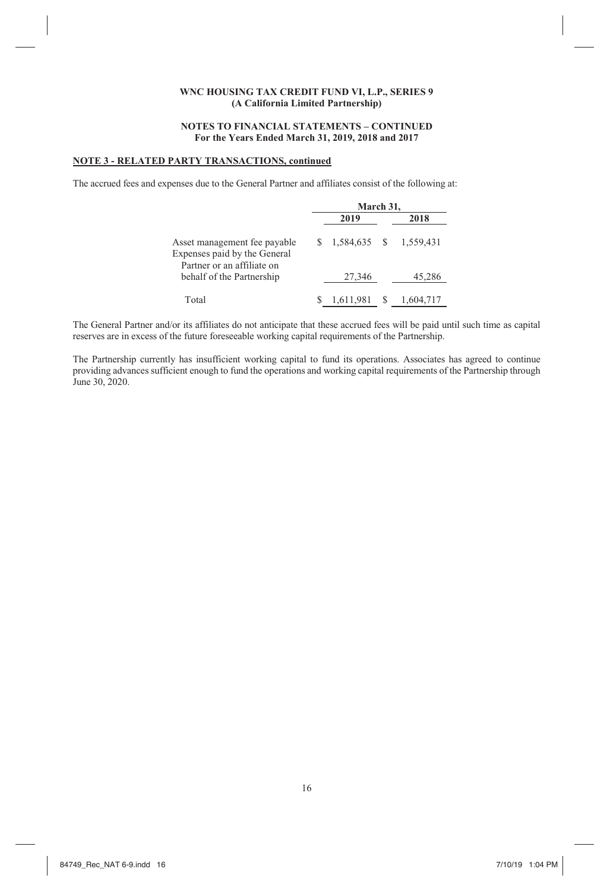### **NOTES TO FINANCIAL STATEMENTS – CONTINUED For the Years Ended March 31, 2019, 2018 and 2017**

# **NOTE 3 - RELATED PARTY TRANSACTIONS, continued**

The accrued fees and expenses due to the General Partner and affiliates consist of the following at:

|                                                              |  | March 31.    |  |           |  |  |  |  |
|--------------------------------------------------------------|--|--------------|--|-----------|--|--|--|--|
|                                                              |  | 2019         |  | 2018      |  |  |  |  |
| Asset management fee payable<br>Expenses paid by the General |  | 1,584,635 \$ |  | 1.559.431 |  |  |  |  |
| Partner or an affiliate on<br>behalf of the Partnership      |  | 27,346       |  | 45,286    |  |  |  |  |
| Total                                                        |  | 1,611,981    |  | 1.604.717 |  |  |  |  |

The General Partner and/or its affiliates do not anticipate that these accrued fees will be paid until such time as capital reserves are in excess of the future foreseeable working capital requirements of the Partnership.

The Partnership currently has insufficient working capital to fund its operations. Associates has agreed to continue providing advances sufficient enough to fund the operations and working capital requirements of the Partnership through June 30, 2020.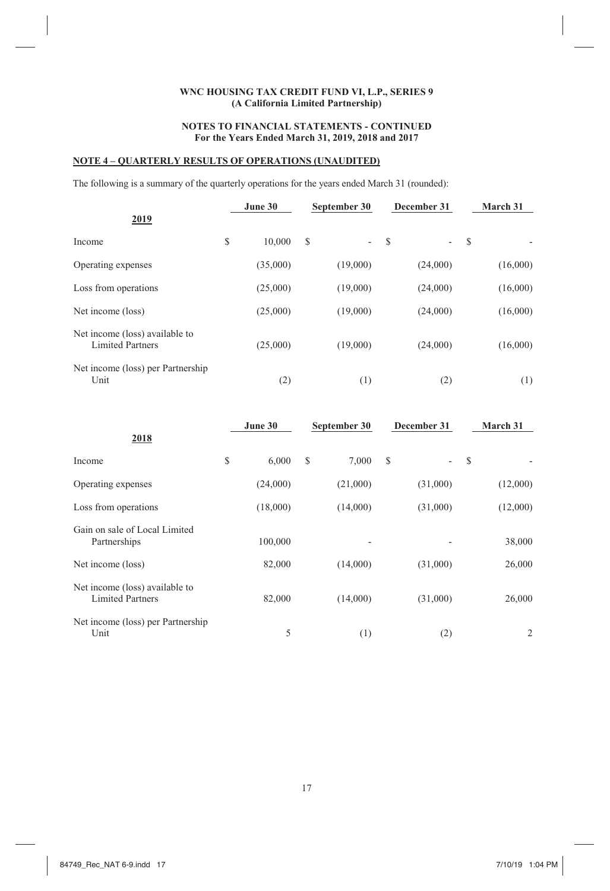# **NOTES TO FINANCIAL STATEMENTS - CONTINUED For the Years Ended March 31, 2019, 2018 and 2017**

# **NOTE 4 – QUARTERLY RESULTS OF OPERATIONS (UNAUDITED)**

The following is a summary of the quarterly operations for the years ended March 31 (rounded):

| 2019                                                      | June 30      | September 30                   |   | December 31              |    | March 31 |
|-----------------------------------------------------------|--------------|--------------------------------|---|--------------------------|----|----------|
| Income                                                    | \$<br>10.000 | \$<br>$\overline{\phantom{0}}$ | S | $\overline{\phantom{0}}$ | -S |          |
| Operating expenses                                        | (35,000)     | (19,000)                       |   | (24,000)                 |    | (16,000) |
| Loss from operations                                      | (25,000)     | (19,000)                       |   | (24,000)                 |    | (16,000) |
| Net income (loss)                                         | (25,000)     | (19,000)                       |   | (24,000)                 |    | (16,000) |
| Net income (loss) available to<br><b>Limited Partners</b> | (25,000)     | (19,000)                       |   | (24,000)                 |    | (16,000) |
| Net income (loss) per Partnership<br>Unit                 | (2)          | (1)                            |   | (2)                      |    | (1)      |

| 2018                                                      | June 30     |   | September 30 |   | December 31              |     | March 31 |
|-----------------------------------------------------------|-------------|---|--------------|---|--------------------------|-----|----------|
| Income                                                    | \$<br>6,000 | S | 7,000        | S | $\overline{\phantom{0}}$ | - S |          |
| Operating expenses                                        | (24,000)    |   | (21,000)     |   | (31,000)                 |     | (12,000) |
| Loss from operations                                      | (18,000)    |   | (14,000)     |   | (31,000)                 |     | (12,000) |
| Gain on sale of Local Limited<br>Partnerships             | 100,000     |   |              |   |                          |     | 38,000   |
| Net income (loss)                                         | 82,000      |   | (14,000)     |   | (31,000)                 |     | 26,000   |
| Net income (loss) available to<br><b>Limited Partners</b> | 82,000      |   | (14,000)     |   | (31,000)                 |     | 26,000   |
| Net income (loss) per Partnership<br>Unit                 | 5           |   | (1)          |   | (2)                      |     | 2        |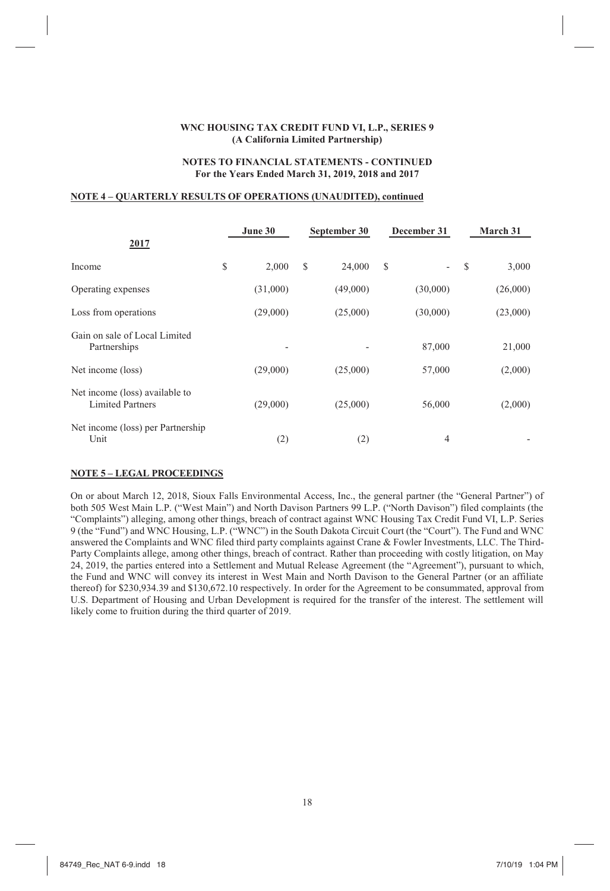### **NOTES TO FINANCIAL STATEMENTS - CONTINUED For the Years Ended March 31, 2019, 2018 and 2017**

### **NOTE 4 – QUARTERLY RESULTS OF OPERATIONS (UNAUDITED), continued**

| 2017                                                      |   | June 30                  |   | September 30 |   | December 31    |               | March 31 |
|-----------------------------------------------------------|---|--------------------------|---|--------------|---|----------------|---------------|----------|
| Income                                                    | S | 2,000                    | S | 24,000       | S | $\overline{a}$ | <sup>\$</sup> | 3,000    |
| Operating expenses                                        |   | (31,000)                 |   | (49,000)     |   | (30,000)       |               | (26,000) |
| Loss from operations                                      |   | (29,000)                 |   | (25,000)     |   | (30,000)       |               | (23,000) |
| Gain on sale of Local Limited<br>Partnerships             |   | $\overline{\phantom{0}}$ |   |              |   | 87,000         |               | 21,000   |
| Net income (loss)                                         |   | (29,000)                 |   | (25,000)     |   | 57,000         |               | (2,000)  |
| Net income (loss) available to<br><b>Limited Partners</b> |   | (29,000)                 |   | (25,000)     |   | 56,000         |               | (2,000)  |
| Net income (loss) per Partnership<br>Unit                 |   | (2)                      |   | (2)          |   | 4              |               |          |

### **NOTE 5 – LEGAL PROCEEDINGS**

On or about March 12, 2018, Sioux Falls Environmental Access, Inc., the general partner (the "General Partner") of both 505 West Main L.P. ("West Main") and North Davison Partners 99 L.P. ("North Davison") filed complaints (the "Complaints") alleging, among other things, breach of contract against WNC Housing Tax Credit Fund VI, L.P. Series 9 (the "Fund") and WNC Housing, L.P. ("WNC") in the South Dakota Circuit Court (the "Court"). The Fund and WNC answered the Complaints and WNC filed third party complaints against Crane & Fowler Investments, LLC. The Third-Party Complaints allege, among other things, breach of contract. Rather than proceeding with costly litigation, on May 24, 2019, the parties entered into a Settlement and Mutual Release Agreement (the "Agreement"), pursuant to which, the Fund and WNC will convey its interest in West Main and North Davison to the General Partner (or an affiliate thereof) for \$230,934.39 and \$130,672.10 respectively. In order for the Agreement to be consummated, approval from U.S. Department of Housing and Urban Development is required for the transfer of the interest. The settlement will likely come to fruition during the third quarter of 2019.